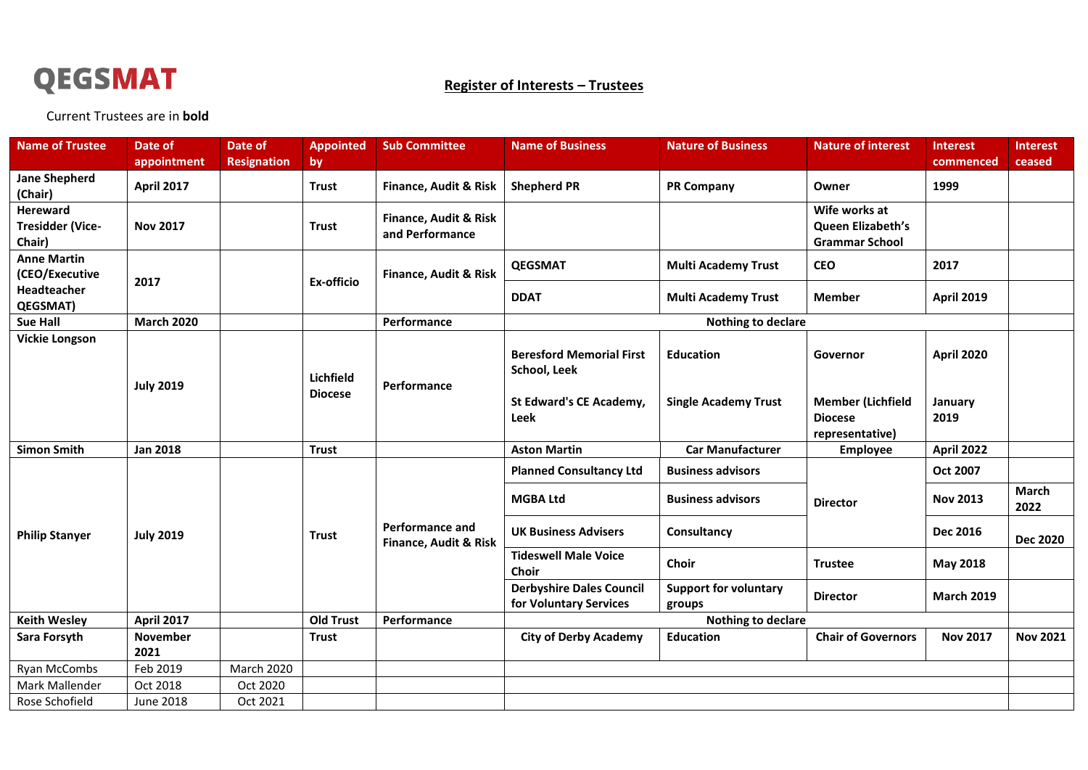

## **Register of Interests – Trustees**

Current Trustees are in **bold**

| <b>Name of Trustee</b>                               | Date of           | Date of            | <b>Appointed</b>            | <b>Sub Committee</b>                                | <b>Name of Business</b>                                   | <b>Nature of Business</b>              | <b>Nature of interest</b>                                     | <b>Interest</b>   | <b>Interest</b>      |
|------------------------------------------------------|-------------------|--------------------|-----------------------------|-----------------------------------------------------|-----------------------------------------------------------|----------------------------------------|---------------------------------------------------------------|-------------------|----------------------|
|                                                      | appointment       | <b>Resignation</b> | by                          |                                                     |                                                           |                                        |                                                               | commenced         | ceased               |
| <b>Jane Shepherd</b><br>(Chair)                      | <b>April 2017</b> |                    | <b>Trust</b>                | Finance, Audit & Risk                               | <b>Shepherd PR</b>                                        | <b>PR Company</b>                      | Owner                                                         | 1999              |                      |
| <b>Hereward</b><br><b>Tresidder (Vice-</b><br>Chair) | <b>Nov 2017</b>   |                    | <b>Trust</b>                | <b>Finance, Audit &amp; Risk</b><br>and Performance |                                                           |                                        | Wife works at<br>Queen Elizabeth's<br><b>Grammar School</b>   |                   |                      |
| <b>Anne Martin</b><br>(CEO/Executive                 | 2017              |                    | Ex-officio                  | Finance, Audit & Risk                               | <b>QEGSMAT</b>                                            | <b>Multi Academy Trust</b>             | <b>CEO</b>                                                    | 2017              |                      |
| Headteacher<br>QEGSMAT)                              |                   |                    |                             |                                                     | <b>DDAT</b>                                               | <b>Multi Academy Trust</b>             | <b>Member</b>                                                 | <b>April 2019</b> |                      |
| <b>Sue Hall</b>                                      | <b>March 2020</b> |                    |                             | Performance                                         | Nothing to declare                                        |                                        |                                                               |                   |                      |
| <b>Vickie Longson</b>                                | <b>July 2019</b>  |                    | Lichfield<br><b>Diocese</b> | Performance                                         | <b>Beresford Memorial First</b><br>School, Leek           | <b>Education</b>                       | Governor                                                      | <b>April 2020</b> |                      |
|                                                      |                   |                    |                             |                                                     | St Edward's CE Academy,<br>Leek                           | <b>Single Academy Trust</b>            | <b>Member (Lichfield</b><br><b>Diocese</b><br>representative) | January<br>2019   |                      |
| <b>Simon Smith</b>                                   | <b>Jan 2018</b>   |                    | <b>Trust</b>                |                                                     | <b>Aston Martin</b>                                       | <b>Car Manufacturer</b>                | <b>Employee</b>                                               | <b>April 2022</b> |                      |
| <b>Philip Stanyer</b>                                | <b>July 2019</b>  |                    | <b>Trust</b>                | <b>Performance and</b><br>Finance, Audit & Risk     | <b>Planned Consultancy Ltd</b>                            | <b>Business advisors</b>               | <b>Director</b>                                               | Oct 2007          |                      |
|                                                      |                   |                    |                             |                                                     | <b>MGBA Ltd</b>                                           | <b>Business advisors</b>               |                                                               | <b>Nov 2013</b>   | <b>March</b><br>2022 |
|                                                      |                   |                    |                             |                                                     | <b>UK Business Advisers</b>                               | Consultancy                            |                                                               | <b>Dec 2016</b>   | <b>Dec 2020</b>      |
|                                                      |                   |                    |                             |                                                     | <b>Tideswell Male Voice</b><br>Choir                      | Choir                                  | <b>Trustee</b>                                                | <b>May 2018</b>   |                      |
|                                                      |                   |                    |                             |                                                     | <b>Derbyshire Dales Council</b><br>for Voluntary Services | <b>Support for voluntary</b><br>groups | <b>Director</b>                                               | <b>March 2019</b> |                      |
| <b>Keith Wesley</b>                                  | <b>April 2017</b> |                    | <b>Old Trust</b>            | Performance                                         | <b>Nothing to declare</b>                                 |                                        |                                                               |                   |                      |
| Sara Forsyth                                         | November<br>2021  |                    | <b>Trust</b>                |                                                     | <b>City of Derby Academy</b>                              | <b>Education</b>                       | <b>Chair of Governors</b>                                     | <b>Nov 2017</b>   | <b>Nov 2021</b>      |
| Ryan McCombs                                         | Feb 2019          | <b>March 2020</b>  |                             |                                                     |                                                           |                                        |                                                               |                   |                      |
| Mark Mallender                                       | Oct 2018          | Oct 2020           |                             |                                                     |                                                           |                                        |                                                               |                   |                      |
| Rose Schofield                                       | <b>June 2018</b>  | Oct 2021           |                             |                                                     |                                                           |                                        |                                                               |                   |                      |